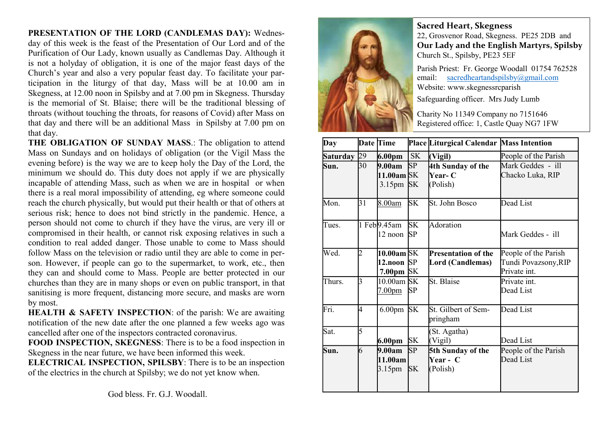## PRESENTATION OF THE LORD (CANDLEMAS DAY): Wednes-

day of this week is the feast of the Presentation of Our Lord and of the Purification of Our Lady, known usually as Candlemas Day. Although it is not a holyday of obligation, it is one of the major feast days of the Church's year and also a very popular feast day. To facilitate your participation in the liturgy of that day, Mass will be at 10.00 am in Skegness, at 12.00 noon in Spilsby and at 7.00 pm in Skegness. Thursday is the memorial of St. Blaise; there will be the traditional blessing of throats (without touching the throats, for reasons of Covid) after Mass on that day and there will be an additional Mass in Spilsby at 7.00 pm on that day.

THE OBLIGATION OF SUNDAY MASS.: The obligation to attend Mass on Sundays and on holidays of obligation (or the Vigil Mass the evening before) is the way we are to keep holy the Day of the Lord, the minimum we should do. This duty does not apply if we are physically incapable of attending Mass, such as when we are in hospital or when there is a real moral impossibility of attending, eg where someone could reach the church physically, but would put their health or that of others at serious risk; hence to does not bind strictly in the pandemic. Hence, a person should not come to church if they have the virus, are very ill or compromised in their health, or cannot risk exposing relatives in such a condition to real added danger. Those unable to come to Mass should follow Mass on the television or radio until they are able to come in person. However, if people can go to the supermarket, to work, etc., then they can and should come to Mass. People are better protected in our churches than they are in many shops or even on public transport, in that sanitising is more frequent, distancing more secure, and masks are worn by most.

HEALTH & SAFETY INSPECTION: of the parish: We are awaiting notification of the new date after the one planned a few weeks ago was cancelled after one of the inspectors contracted coronavirus.

FOOD INSPECTION, SKEGNESS: There is to be a food inspection in Skegness in the near future, we have been informed this week.

ELECTRICAL INSPECTION, SPILSBY: There is to be an inspection of the electrics in the church at Spilsby; we do not yet know when.



## Sacred Heart, Skegness

22, Grosvenor Road, Skegness. PE25 2DB and Our Lady and the English Martyrs, Spilsby Church St., Spilsby, PE23 5EF

Parish Priest: Fr. George Woodall 01754 762528 email: sacredheartandspilsby@gmail.com Website: www.skegnessrcparish

Safeguarding officer. Mrs Judy Lumb

Charity No 11349 Company no 7151646 Registered office: 1, Castle Quay NG7 1FW

| Day         |                 | Date Time                                   |                        | Place Liturgical Calendar Mass Intention       |                                                              |
|-------------|-----------------|---------------------------------------------|------------------------|------------------------------------------------|--------------------------------------------------------------|
| Saturday 29 |                 | 6.00 <sub>pm</sub>                          | SK                     | (Vigil)                                        | People of the Parish                                         |
| Sun.        | 30              | 9.00am<br>11.00am SK<br>3.15pm              | SP<br><b>SK</b>        | 4th Sunday of the<br><b>Year-C</b><br>(Polish) | Mark Geddes - ill<br>Chacko Luka, RIP                        |
| Mon.        | $\overline{31}$ | 8.00am                                      | <b>SK</b>              | St. John Bosco                                 | Dead List                                                    |
| Tues.       |                 | 1 Feb9.45am<br>12 noon                      | <b>SK</b><br><b>SP</b> | Adoration                                      | Mark Geddes - ill                                            |
| Wed.        | 2               | 10.00am SK<br>12.noon $SP$<br>7.00pm $ SK $ |                        | Presentation of the<br>Lord (Candlemas)        | People of the Parish<br>Tundi Povazsony, RIP<br>Private int. |
| Thurs.      | 3               | $10.00$ am SK<br>7.00pm                     | <b>SP</b>              | St. Blaise                                     | Private int.<br>Dead List                                    |
| Fri.        | 4               | 6.00 <sub>pm</sub>                          | <b>SK</b>              | St. Gilbert of Sem-<br>pringham                | Dead List                                                    |
| Sat.        | $\overline{5}$  | 6.00pm                                      | <b>SK</b>              | St. Agatha)<br>(Vigil)                         | Dead List                                                    |
| Sun.        | 6               | 9.00am<br>11.00am<br>3.15 <sub>pm</sub>     | <b>SP</b><br><b>SK</b> | 5th Sunday of the<br>Year - C<br>(Polish)      | People of the Parish<br>Dead List                            |